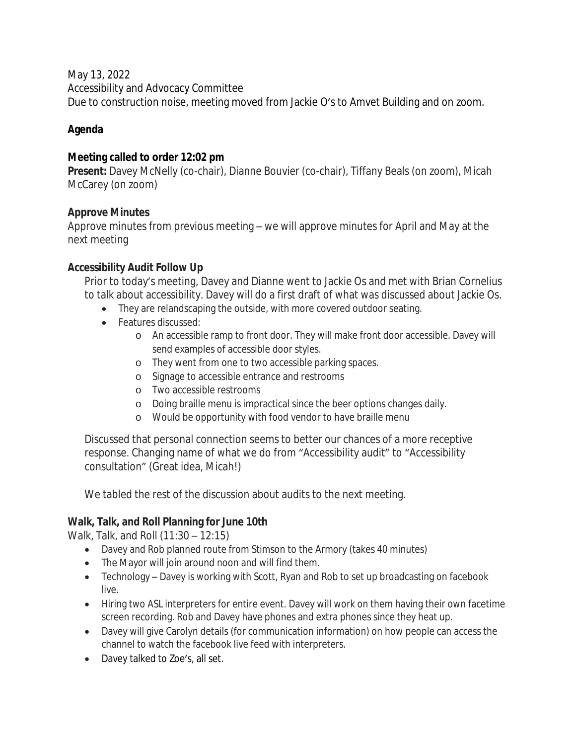May 13, 2022

Accessibility and Advocacy Committee

Due to construction noise, meeting moved from Jackie O's to Amvet Building and on zoom.

# **Agenda**

### **Meeting called to order 12:02 pm**

**Present:** Davey McNelly (co-chair), Dianne Bouvier (co-chair), Tiffany Beals (on zoom), Micah McCarey (on zoom)

### **Approve Minutes**

Approve minutes from previous meeting – we will approve minutes for April and May at the next meeting

### **Accessibility Audit Follow Up**

Prior to today's meeting, Davey and Dianne went to Jackie Os and met with Brian Cornelius to talk about accessibility. Davey will do a first draft of what was discussed about Jackie Os.

- They are relandscaping the outside, with more covered outdoor seating.
- Features discussed:
	- o An accessible ramp to front door. They will make front door accessible. Davey will send examples of accessible door styles.
	- o They went from one to two accessible parking spaces.
	- o Signage to accessible entrance and restrooms
	- o Two accessible restrooms
	- o Doing braille menu is impractical since the beer options changes daily.
	- o Would be opportunity with food vendor to have braille menu

Discussed that personal connection seems to better our chances of a more receptive response. Changing name of what we do from "Accessibility audit" to "Accessibility consultation" (Great idea, Micah!)

We tabled the rest of the discussion about audits to the next meeting.

## **Walk, Talk, and Roll Planning for June 10th**

Walk, Talk, and Roll (11:30 – 12:15)

- Davey and Rob planned route from Stimson to the Armory (takes 40 minutes)
- The Mayor will join around noon and will find them.
- Technology Davey is working with Scott, Ryan and Rob to set up broadcasting on facebook live.
- Hiring two ASL interpreters for entire event. Davey will work on them having their own facetime screen recording. Rob and Davey have phones and extra phones since they heat up.
- Davey will give Carolyn details (for communication information) on how people can access the channel to watch the facebook live feed with interpreters.
- Davey talked to Zoe's, all set.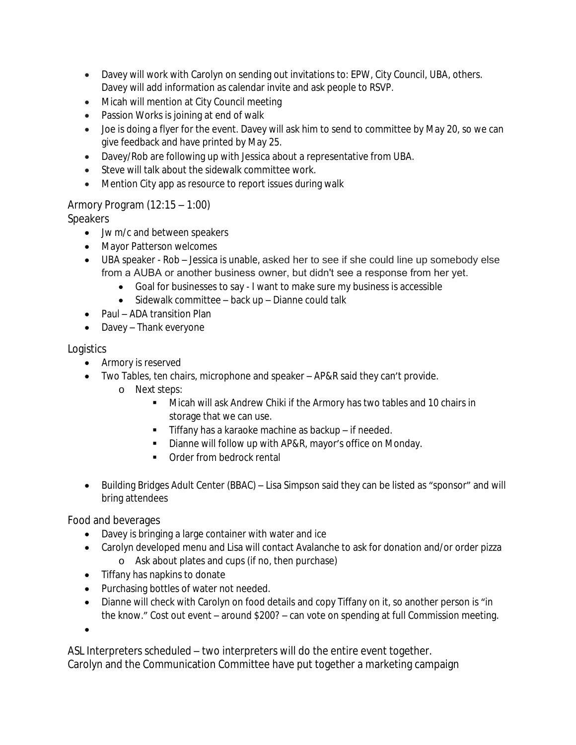- Davey will work with Carolyn on sending out invitations to: EPW, City Council, UBA, others. Davey will add information as calendar invite and ask people to RSVP.
- Micah will mention at City Council meeting
- Passion Works is joining at end of walk
- Joe is doing a flyer for the event. Davey will ask him to send to committee by May 20, so we can give feedback and have printed by May 25.
- Davey/Rob are following up with Jessica about a representative from UBA.
- Steve will talk about the sidewalk committee work.
- Mention City app as resource to report issues during walk

### Armory Program (12:15 – 1:00)

**Speakers** 

- Jw m/c and between speakers
- Mayor Patterson welcomes
- UBA speaker Rob Jessica is unable, asked her to see if she could line up somebody else from a AUBA or another business owner, but didn't see a response from her yet.
	- Goal for businesses to say I want to make sure my business is accessible
	- Sidewalk committee back up Dianne could talk
- Paul ADA transition Plan
- Davey Thank everyone

### **Logistics**

- Armory is reserved
- Two Tables, ten chairs, microphone and speaker AP&R said they can't provide.
	- o Next steps:
		- **Micah will ask Andrew Chiki if the Armory has two tables and 10 chairs in** storage that we can use.
		- Tiffany has a karaoke machine as backup if needed.
		- **Dianne will follow up with AP&R, mayor's office on Monday.**
		- **•** Order from bedrock rental
- Building Bridges Adult Center (BBAC) Lisa Simpson said they can be listed as "sponsor" and will bring attendees

Food and beverages

- Davey is bringing a large container with water and ice
- Carolyn developed menu and Lisa will contact Avalanche to ask for donation and/or order pizza o Ask about plates and cups (if no, then purchase)
- Tiffany has napkins to donate
- Purchasing bottles of water not needed.
- Dianne will check with Carolyn on food details and copy Tiffany on it, so another person is "in the know." Cost out event – around \$200? – can vote on spending at full Commission meeting.

 $\bullet$ 

ASL Interpreters scheduled – two interpreters will do the entire event together. Carolyn and the Communication Committee have put together a marketing campaign